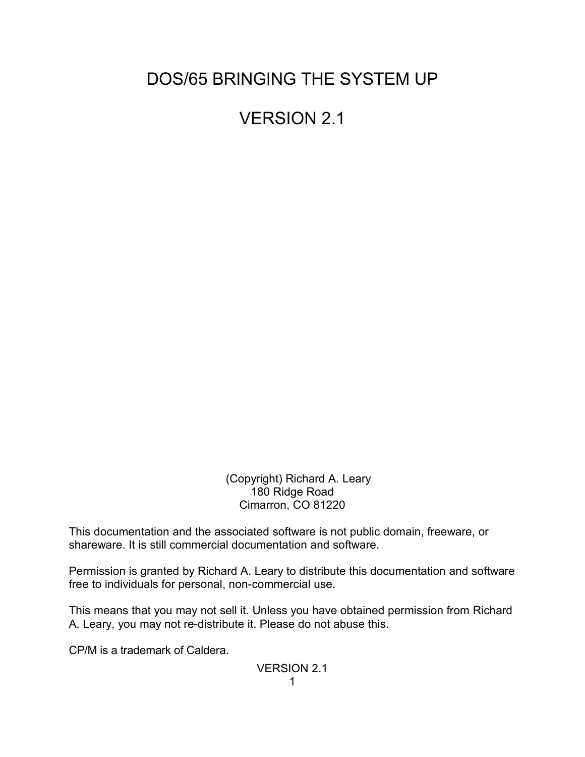DOS/65 BRINGING THE SYSTEM UP

VERSION 2.1

 (Copyright) Richard A. Leary 180 Ridge Road Cimarron, CO 81220

This documentation and the associated software is not public domain, freeware, or shareware. It is still commercial documentation and software.

Permission is granted by Richard A. Leary to distribute this documentation and software free to individuals for personal, non-commercial use.

This means that you may not sell it. Unless you have obtained permission from Richard A. Leary, you may not re-distribute it. Please do not abuse this.

CP/M is a trademark of Caldera.

VERSION 2.1 1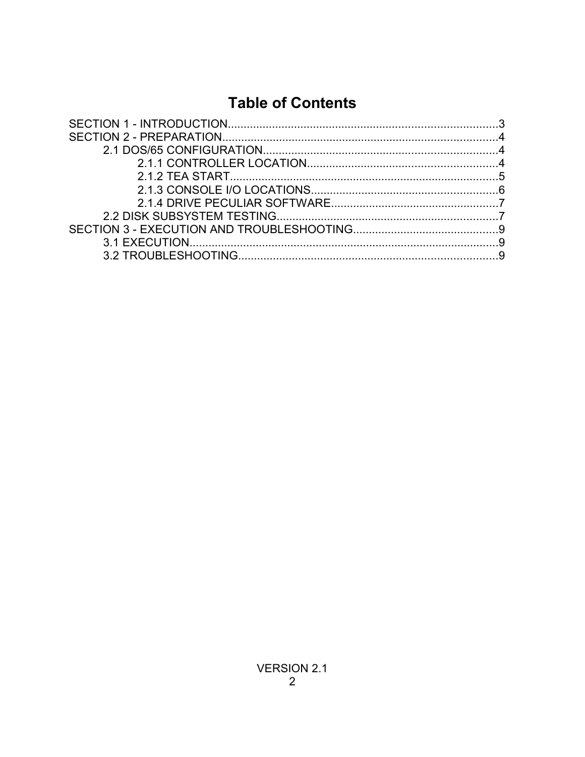# **Table of Contents**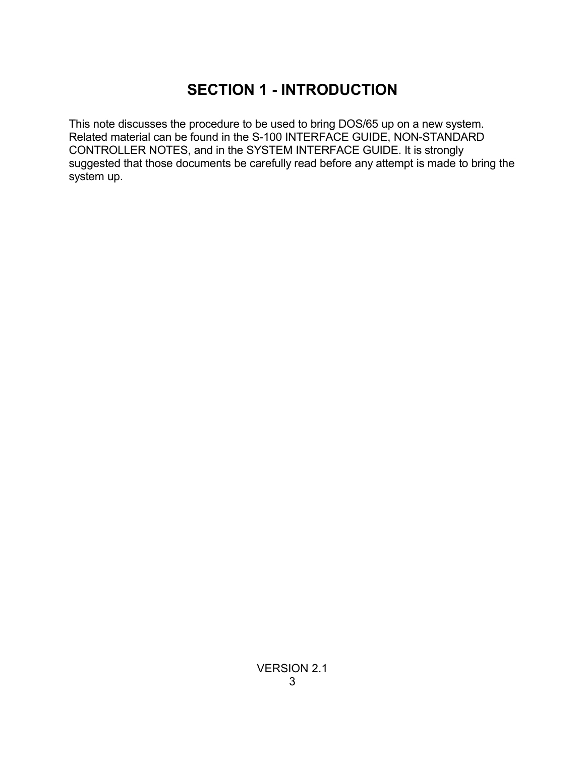# **SECTION 1 - INTRODUCTION**

This note discusses the procedure to be used to bring DOS/65 up on a new system. Related material can be found in the S-100 INTERFACE GUIDE, NON-STANDARD CONTROLLER NOTES, and in the SYSTEM INTERFACE GUIDE. It is strongly suggested that those documents be carefully read before any attempt is made to bring the system up.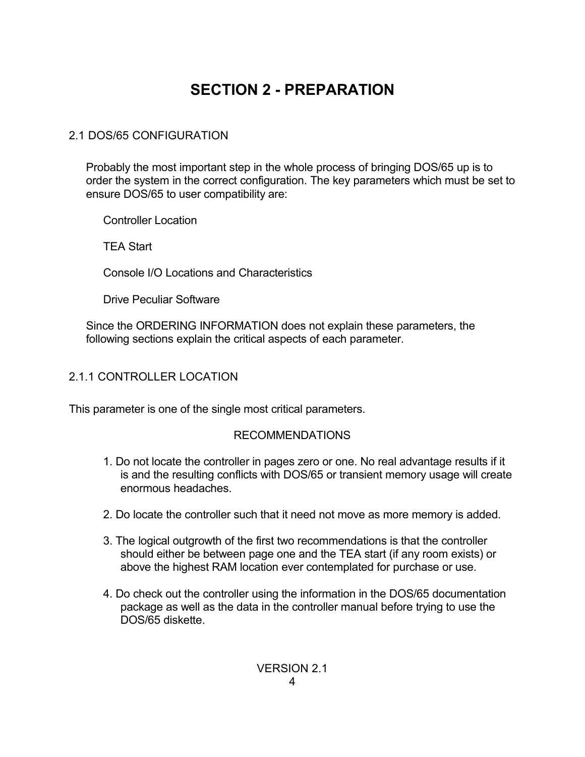# **SECTION 2 - PREPARATION**

## 2.1 DOS/65 CONFIGURATION

Probably the most important step in the whole process of bringing DOS/65 up is to order the system in the correct configuration. The key parameters which must be set to ensure DOS/65 to user compatibility are:

Controller Location

TEA Start

Console I/O Locations and Characteristics

Drive Peculiar Software

Since the ORDERING INFORMATION does not explain these parameters, the following sections explain the critical aspects of each parameter.

## 2.1.1 CONTROLLER LOCATION

This parameter is one of the single most critical parameters.

### RECOMMENDATIONS

- 1. Do not locate the controller in pages zero or one. No real advantage results if it is and the resulting conflicts with DOS/65 or transient memory usage will create enormous headaches.
- 2. Do locate the controller such that it need not move as more memory is added.
- 3. The logical outgrowth of the first two recommendations is that the controller should either be between page one and the TEA start (if any room exists) or above the highest RAM location ever contemplated for purchase or use.
- 4. Do check out the controller using the information in the DOS/65 documentation package as well as the data in the controller manual before trying to use the DOS/65 diskette.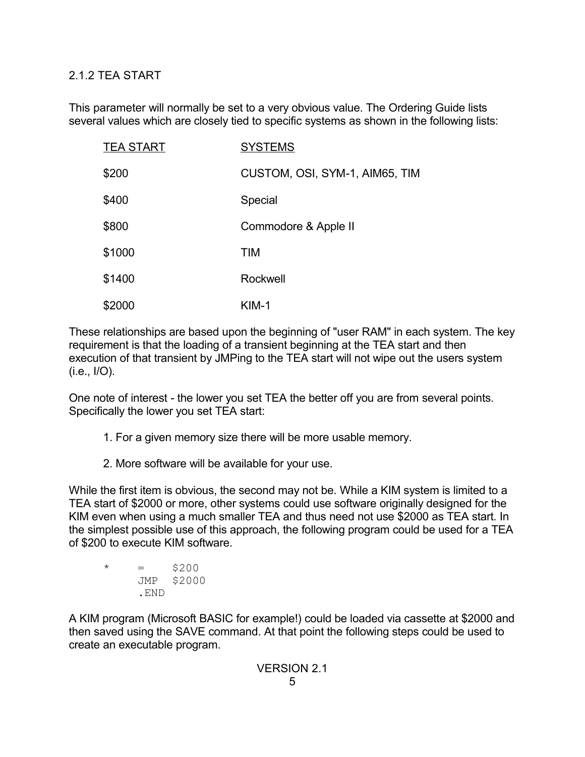### 2.1.2 TEA START

This parameter will normally be set to a very obvious value. The Ordering Guide lists several values which are closely tied to specific systems as shown in the following lists:

| <b>TEA START</b> | <b>SYSTEMS</b>                 |
|------------------|--------------------------------|
| \$200            | CUSTOM, OSI, SYM-1, AIM65, TIM |
| \$400            | Special                        |
| \$800            | Commodore & Apple II           |
| \$1000           | <b>TIM</b>                     |
| \$1400           | Rockwell                       |
| \$2000           | KIM-1                          |

These relationships are based upon the beginning of "user RAM" in each system. The key requirement is that the loading of a transient beginning at the TEA start and then execution of that transient by JMPing to the TEA start will not wipe out the users system (i.e., I/O).

One note of interest - the lower you set TEA the better off you are from several points. Specifically the lower you set TEA start:

- 1. For a given memory size there will be more usable memory.
- 2. More software will be available for your use.

While the first item is obvious, the second may not be. While a KIM system is limited to a TEA start of \$2000 or more, other systems could use software originally designed for the KIM even when using a much smaller TEA and thus need not use \$2000 as TEA start. In the simplest possible use of this approach, the following program could be used for a TEA of \$200 to execute KIM software.

```
\star = $200
    JMP $2000
    .END
```
A KIM program (Microsoft BASIC for example!) could be loaded via cassette at \$2000 and then saved using the SAVE command. At that point the following steps could be used to create an executable program.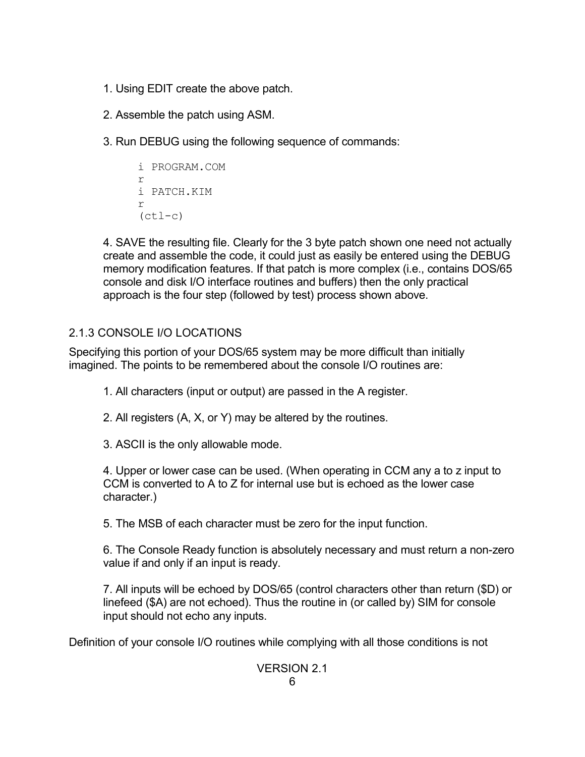- 1. Using EDIT create the above patch.
- 2. Assemble the patch using ASM.
- 3. Run DEBUG using the following sequence of commands:

```
i PROGRAM.COM
r
i PATCH.KIM
r
(ctl-c)
```
4. SAVE the resulting file. Clearly for the 3 byte patch shown one need not actually create and assemble the code, it could just as easily be entered using the DEBUG memory modification features. If that patch is more complex (i.e., contains DOS/65 console and disk I/O interface routines and buffers) then the only practical approach is the four step (followed by test) process shown above.

## 2.1.3 CONSOLE I/O LOCATIONS

Specifying this portion of your DOS/65 system may be more difficult than initially imagined. The points to be remembered about the console I/O routines are:

1. All characters (input or output) are passed in the A register.

- 2. All registers (A, X, or Y) may be altered by the routines.
- 3. ASCII is the only allowable mode.

4. Upper or lower case can be used. (When operating in CCM any a to z input to CCM is converted to A to Z for internal use but is echoed as the lower case character.)

5. The MSB of each character must be zero for the input function.

6. The Console Ready function is absolutely necessary and must return a non-zero value if and only if an input is ready.

7. All inputs will be echoed by DOS/65 (control characters other than return (\$D) or linefeed (\$A) are not echoed). Thus the routine in (or called by) SIM for console input should not echo any inputs.

Definition of your console I/O routines while complying with all those conditions is not

# VERSION 2.1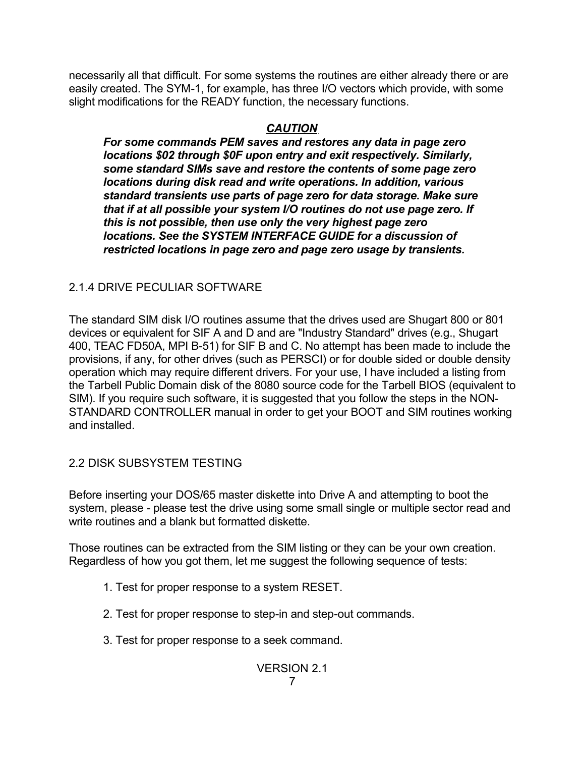necessarily all that difficult. For some systems the routines are either already there or are easily created. The SYM-1, for example, has three I/O vectors which provide, with some slight modifications for the READY function, the necessary functions.

## *CAUTION*

*For some commands PEM saves and restores any data in page zero locations \$02 through \$0F upon entry and exit respectively. Similarly, some standard SIMs save and restore the contents of some page zero locations during disk read and write operations. In addition, various standard transients use parts of page zero for data storage. Make sure that if at all possible your system I/O routines do not use page zero. If this is not possible, then use only the very highest page zero locations. See the SYSTEM INTERFACE GUIDE for a discussion of restricted locations in page zero and page zero usage by transients.*

## 2.1.4 DRIVE PECULIAR SOFTWARE

The standard SIM disk I/O routines assume that the drives used are Shugart 800 or 801 devices or equivalent for SIF A and D and are "Industry Standard" drives (e.g., Shugart 400, TEAC FD50A, MPI B-51) for SIF B and C. No attempt has been made to include the provisions, if any, for other drives (such as PERSCI) or for double sided or double density operation which may require different drivers. For your use, I have included a listing from the Tarbell Public Domain disk of the 8080 source code for the Tarbell BIOS (equivalent to SIM). If you require such software, it is suggested that you follow the steps in the NON-STANDARD CONTROLLER manual in order to get your BOOT and SIM routines working and installed.

## 2.2 DISK SUBSYSTEM TESTING

Before inserting your DOS/65 master diskette into Drive A and attempting to boot the system, please - please test the drive using some small single or multiple sector read and write routines and a blank but formatted diskette.

Those routines can be extracted from the SIM listing or they can be your own creation. Regardless of how you got them, let me suggest the following sequence of tests:

- 1. Test for proper response to a system RESET.
- 2. Test for proper response to step-in and step-out commands.
- 3. Test for proper response to a seek command.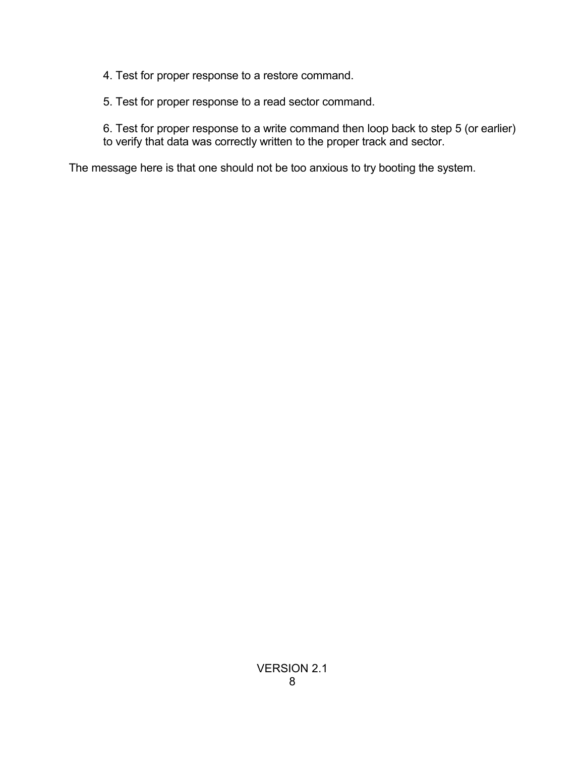4. Test for proper response to a restore command.

5. Test for proper response to a read sector command.

6. Test for proper response to a write command then loop back to step 5 (or earlier) to verify that data was correctly written to the proper track and sector.

The message here is that one should not be too anxious to try booting the system.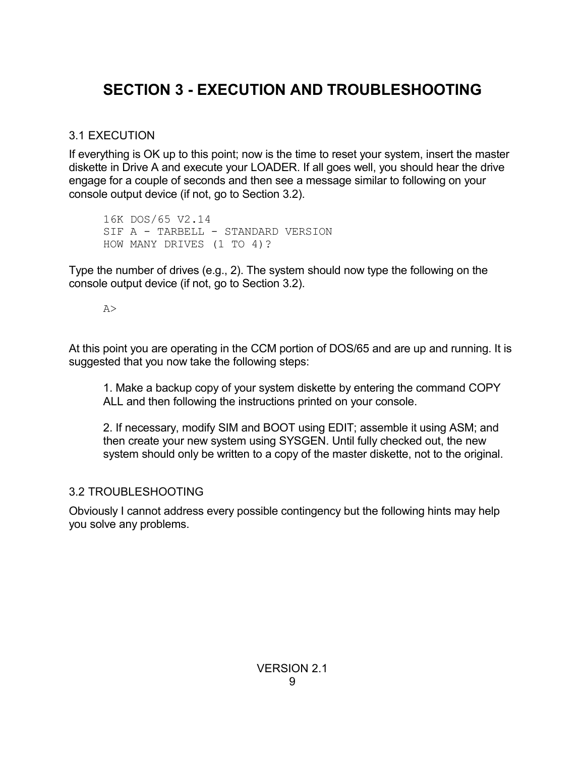# **SECTION 3 - EXECUTION AND TROUBLESHOOTING**

### 3.1 EXECUTION

If everything is OK up to this point; now is the time to reset your system, insert the master diskette in Drive A and execute your LOADER. If all goes well, you should hear the drive engage for a couple of seconds and then see a message similar to following on your console output device (if not, go to Section 3.2).

16K DOS/65 V2.14 SIF A - TARBELL - STANDARD VERSION HOW MANY DRIVES (1 TO 4)?

Type the number of drives (e.g., 2). The system should now type the following on the console output device (if not, go to Section 3.2).

#### A>

At this point you are operating in the CCM portion of DOS/65 and are up and running. It is suggested that you now take the following steps:

1. Make a backup copy of your system diskette by entering the command COPY ALL and then following the instructions printed on your console.

2. If necessary, modify SIM and BOOT using EDIT; assemble it using ASM; and then create your new system using SYSGEN. Until fully checked out, the new system should only be written to a copy of the master diskette, not to the original.

### 3.2 TROUBLESHOOTING

Obviously I cannot address every possible contingency but the following hints may help you solve any problems.